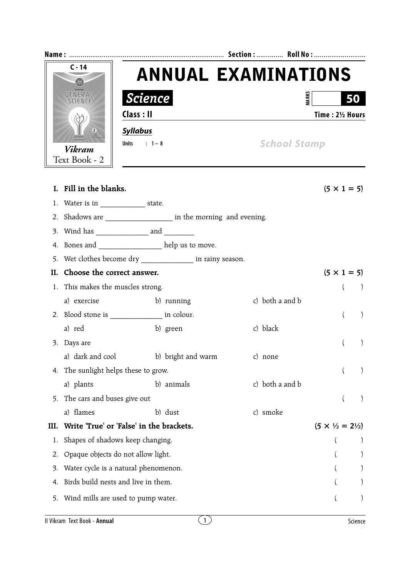| $C - 14$<br>GEMERAL |                                                                                     | <b>ANNUAL EXAMINATIONS</b>                                 |                 |                          |           |  |  |
|---------------------|-------------------------------------------------------------------------------------|------------------------------------------------------------|-----------------|--------------------------|-----------|--|--|
|                     |                                                                                     |                                                            |                 |                          |           |  |  |
|                     |                                                                                     | <b>Science</b>                                             |                 | <b>MARKS</b><br>50       |           |  |  |
|                     |                                                                                     | Class : II                                                 |                 | Time: 21/2 Hours         |           |  |  |
|                     | 3                                                                                   | <b>Syllabus</b>                                            |                 |                          |           |  |  |
| <b>Vikram</b>       |                                                                                     | Units : $1 - 8$                                            |                 | <b>School Stamp</b>      |           |  |  |
|                     | Text Book - 2                                                                       |                                                            |                 |                          |           |  |  |
|                     |                                                                                     |                                                            |                 |                          |           |  |  |
|                     | I. Fill in the blanks.                                                              |                                                            |                 | $(5 \times 1 = 5)$       |           |  |  |
|                     | 1. Water is in ______________________state.                                         |                                                            |                 |                          |           |  |  |
|                     | 2. Shadows are _________________________ in the morning and evening.                |                                                            |                 |                          |           |  |  |
|                     |                                                                                     |                                                            |                 |                          |           |  |  |
|                     |                                                                                     | 4. Bones and ______________ help us to move.               |                 |                          |           |  |  |
|                     |                                                                                     | 5. Wet clothes become dry _______________ in rainy season. |                 |                          |           |  |  |
| H.                  | Choose the correct answer.<br>$(5 \times 1 = 5)$                                    |                                                            |                 |                          |           |  |  |
|                     | 1. This makes the muscles strong.                                                   |                                                            |                 | $\left($                 |           |  |  |
|                     | a) exercise                                                                         | b) running                                                 | c) both a and b |                          |           |  |  |
|                     |                                                                                     | 2. Blood stone is ________________ in colour.              |                 | $\left($                 | $\lambda$ |  |  |
|                     | a) red                                                                              | b) green                                                   | c) black        |                          |           |  |  |
|                     | 3. Days are                                                                         |                                                            |                 |                          |           |  |  |
|                     | a) dark and cool                                                                    | b) bright and warm                                         | c) none         |                          |           |  |  |
| 4.                  | The sunlight helps these to grow.                                                   |                                                            | $\left($        |                          |           |  |  |
|                     | a) plants                                                                           | b) animals                                                 | c) both a and b |                          |           |  |  |
| 5.                  | The cars and buses give out                                                         |                                                            |                 | $\overline{\mathcal{L}}$ |           |  |  |
|                     | a) flames                                                                           | b) dust                                                    | c) smoke        |                          |           |  |  |
| III.                | Write 'True' or 'False' in the brackets.<br>$(5 \times \frac{1}{2} = 2\frac{1}{2})$ |                                                            |                 |                          |           |  |  |
| 1.                  |                                                                                     | Shapes of shadows keep changing.                           |                 |                          |           |  |  |
| 2.                  | Opaque objects do not allow light.                                                  |                                                            |                 |                          |           |  |  |
| 3.                  | Water cycle is a natural phenomenon.                                                |                                                            |                 |                          |           |  |  |
| 4.                  | Birds build nests and live in them.                                                 |                                                            |                 |                          |           |  |  |
|                     | 5. Wind mills are used to pump water.                                               |                                                            |                 |                          |           |  |  |
|                     |                                                                                     |                                                            |                 |                          |           |  |  |